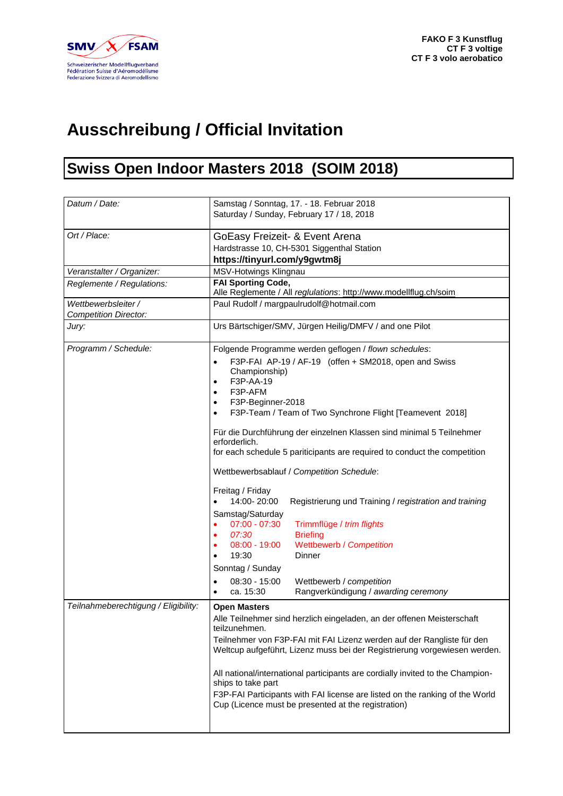

## **Ausschreibung / Official Invitation**

## **Swiss Open Indoor Masters 2018 (SOIM 2018)**

| Datum / Date:                                                | Samstag / Sonntag, 17. - 18. Februar 2018<br>Saturday / Sunday, February 17 / 18, 2018                                                                                                                                                                                                                                                                                                                                                                                                                                                                                                                                                                                                                                                                                                                                                                                                                                                                                                                                                                                                                                                                                                                                                                                                                                                                                                                                                                        |
|--------------------------------------------------------------|---------------------------------------------------------------------------------------------------------------------------------------------------------------------------------------------------------------------------------------------------------------------------------------------------------------------------------------------------------------------------------------------------------------------------------------------------------------------------------------------------------------------------------------------------------------------------------------------------------------------------------------------------------------------------------------------------------------------------------------------------------------------------------------------------------------------------------------------------------------------------------------------------------------------------------------------------------------------------------------------------------------------------------------------------------------------------------------------------------------------------------------------------------------------------------------------------------------------------------------------------------------------------------------------------------------------------------------------------------------------------------------------------------------------------------------------------------------|
| Ort / Place:                                                 | GoEasy Freizeit- & Event Arena<br>Hardstrasse 10, CH-5301 Siggenthal Station<br>https://tinyurl.com/y9gwtm8j                                                                                                                                                                                                                                                                                                                                                                                                                                                                                                                                                                                                                                                                                                                                                                                                                                                                                                                                                                                                                                                                                                                                                                                                                                                                                                                                                  |
| Veranstalter / Organizer:                                    | MSV-Hotwings Klingnau                                                                                                                                                                                                                                                                                                                                                                                                                                                                                                                                                                                                                                                                                                                                                                                                                                                                                                                                                                                                                                                                                                                                                                                                                                                                                                                                                                                                                                         |
| Reglemente / Regulations:                                    | <b>FAI Sporting Code,</b><br>Alle Reglemente / All reglulations: http://www.modellflug.ch/soim                                                                                                                                                                                                                                                                                                                                                                                                                                                                                                                                                                                                                                                                                                                                                                                                                                                                                                                                                                                                                                                                                                                                                                                                                                                                                                                                                                |
| Wettbewerbsleiter /<br><b>Competition Director:</b>          | Paul Rudolf / margpaulrudolf@hotmail.com                                                                                                                                                                                                                                                                                                                                                                                                                                                                                                                                                                                                                                                                                                                                                                                                                                                                                                                                                                                                                                                                                                                                                                                                                                                                                                                                                                                                                      |
| Jury:                                                        | Urs Bärtschiger/SMV, Jürgen Heilig/DMFV / and one Pilot                                                                                                                                                                                                                                                                                                                                                                                                                                                                                                                                                                                                                                                                                                                                                                                                                                                                                                                                                                                                                                                                                                                                                                                                                                                                                                                                                                                                       |
| Programm / Schedule:<br>Teilnahmeberechtigung / Eligibility: | Folgende Programme werden geflogen / flown schedules:<br>F3P-FAI AP-19 / AF-19 (offen + SM2018, open and Swiss<br>$\bullet$<br>Championship)<br>F3P-AA-19<br>$\bullet$<br>F3P-AFM<br>F3P-Beginner-2018<br>F3P-Team / Team of Two Synchrone Flight [Teamevent 2018]<br>$\bullet$<br>Für die Durchführung der einzelnen Klassen sind minimal 5 Teilnehmer<br>erforderlich.<br>for each schedule 5 pariticipants are required to conduct the competition<br>Wettbewerbsablauf / Competition Schedule:<br>Freitag / Friday<br>14:00-20:00<br>Registrierung und Training / registration and training<br>Samstag/Saturday<br>$07:00 - 07:30$<br>Trimmflüge / trim flights<br>$\bullet$<br>07:30<br><b>Briefing</b><br>٠<br>Wettbewerb / Competition<br>$08:00 - 19:00$<br>19:30<br>Dinner<br>Sonntag / Sunday<br>$08:30 - 15:00$<br>Wettbewerb / competition<br>$\bullet$<br>Rangverkündigung / awarding ceremony<br>ca. 15:30<br>$\bullet$<br><b>Open Masters</b><br>Alle Teilnehmer sind herzlich eingeladen, an der offenen Meisterschaft<br>teilzunehmen.<br>Teilnehmer von F3P-FAI mit FAI Lizenz werden auf der Rangliste für den<br>Weltcup aufgeführt, Lizenz muss bei der Registrierung vorgewiesen werden.<br>All national/international participants are cordially invited to the Champion-<br>ships to take part<br>F3P-FAI Participants with FAI license are listed on the ranking of the World<br>Cup (Licence must be presented at the registration) |
|                                                              |                                                                                                                                                                                                                                                                                                                                                                                                                                                                                                                                                                                                                                                                                                                                                                                                                                                                                                                                                                                                                                                                                                                                                                                                                                                                                                                                                                                                                                                               |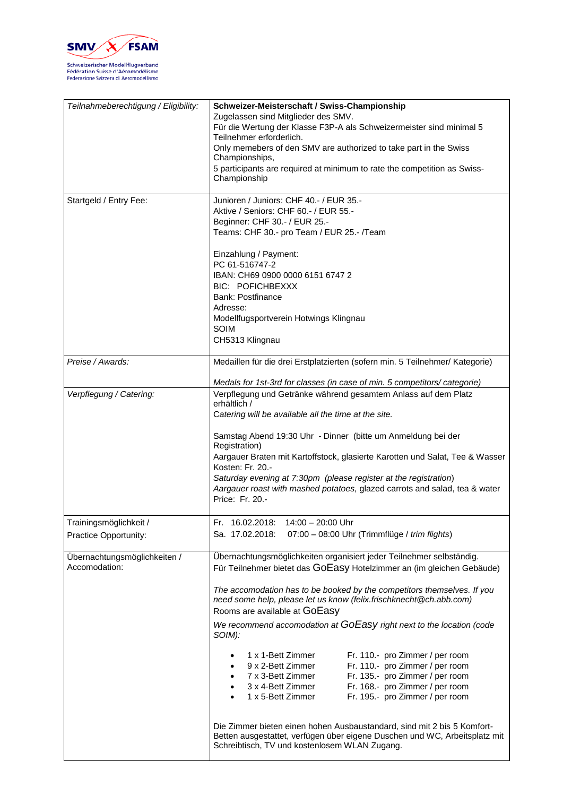

| Teilnahmeberechtigung / Eligibility:            | Schweizer-Meisterschaft / Swiss-Championship<br>Zugelassen sind Mitglieder des SMV.<br>Für die Wertung der Klasse F3P-A als Schweizermeister sind minimal 5<br>Teilnehmer erforderlich.<br>Only memebers of den SMV are authorized to take part in the Swiss<br>Championships,<br>5 participants are required at minimum to rate the competition as Swiss-<br>Championship                                                                                                                                                                                                                                                                                                                                                                                                                                                                                                                                          |
|-------------------------------------------------|---------------------------------------------------------------------------------------------------------------------------------------------------------------------------------------------------------------------------------------------------------------------------------------------------------------------------------------------------------------------------------------------------------------------------------------------------------------------------------------------------------------------------------------------------------------------------------------------------------------------------------------------------------------------------------------------------------------------------------------------------------------------------------------------------------------------------------------------------------------------------------------------------------------------|
| Startgeld / Entry Fee:                          | Junioren / Juniors: CHF 40.- / EUR 35.-<br>Aktive / Seniors: CHF 60.- / EUR 55.-<br>Beginner: CHF 30.- / EUR 25.-<br>Teams: CHF 30.- pro Team / EUR 25.- /Team<br>Einzahlung / Payment:<br>PC 61-516747-2<br>IBAN: CH69 0900 0000 6151 6747 2<br>BIC: POFICHBEXXX<br><b>Bank: Postfinance</b><br>Adresse:<br>Modellfugsportverein Hotwings Klingnau<br>SOIM<br>CH5313 Klingnau                                                                                                                                                                                                                                                                                                                                                                                                                                                                                                                                      |
| Preise / Awards:                                | Medaillen für die drei Erstplatzierten (sofern min. 5 Teilnehmer/ Kategorie)<br>Medals for 1st-3rd for classes (in case of min. 5 competitors/ categorie)                                                                                                                                                                                                                                                                                                                                                                                                                                                                                                                                                                                                                                                                                                                                                           |
| Verpflegung / Catering:                         | Verpflegung und Getränke während gesamtem Anlass auf dem Platz<br>erhältlich /<br>Catering will be available all the time at the site.<br>Samstag Abend 19:30 Uhr - Dinner (bitte um Anmeldung bei der<br>Registration)<br>Aargauer Braten mit Kartoffstock, glasierte Karotten und Salat, Tee & Wasser<br>Kosten: Fr. 20.-<br>Saturday evening at 7:30pm (please register at the registration)<br>Aargauer roast with mashed potatoes, glazed carrots and salad, tea & water<br>Price: Fr. 20.-                                                                                                                                                                                                                                                                                                                                                                                                                    |
| Trainingsmöglichkeit /<br>Practice Opportunity: | Fr. 16.02.2018: 14:00 - 20:00 Uhr<br>07:00 - 08:00 Uhr (Trimmflüge / trim flights)<br>Sa. 17.02.2018:                                                                                                                                                                                                                                                                                                                                                                                                                                                                                                                                                                                                                                                                                                                                                                                                               |
| Übernachtungsmöglichkeiten /<br>Accomodation:   | Übernachtungsmöglichkeiten organisiert jeder Teilnehmer selbständig.<br>Für Teilnehmer bietet das GOEaSy Hotelzimmer an (im gleichen Gebäude)<br>The accomodation has to be booked by the competitors themselves. If you<br>need some help, please let us know (felix.frischknecht@ch.abb.com)<br>Rooms are available at GOEasy<br>We recommend accomodation at GOEasy right next to the location (code<br>SOIM):<br>1 x 1-Bett Zimmer<br>Fr. 110.- pro Zimmer / per room<br>Fr. 110.- pro Zimmer / per room<br>9 x 2-Bett Zimmer<br>Fr. 135.- pro Zimmer / per room<br>7 x 3-Bett Zimmer<br>Fr. 168.- pro Zimmer / per room<br>3 x 4-Bett Zimmer<br>1 x 5-Bett Zimmer<br>Fr. 195.- pro Zimmer / per room<br>Die Zimmer bieten einen hohen Ausbaustandard, sind mit 2 bis 5 Komfort-<br>Betten ausgestattet, verfügen über eigene Duschen und WC, Arbeitsplatz mit<br>Schreibtisch, TV und kostenlosem WLAN Zugang. |